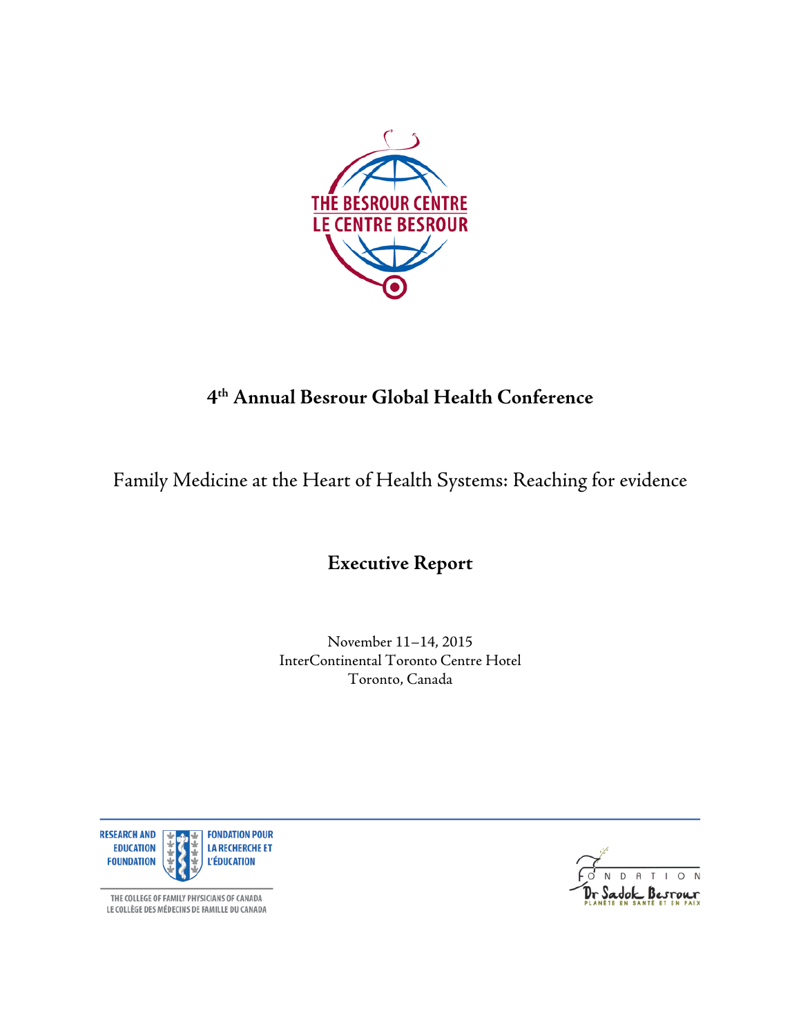

## **4th Annual Besrour Global Health Conference**

Family Medicine at the Heart of Health Systems: Reaching for evidence

**Executive Report**

November 11–14, 2015 InterContinental Toronto Centre Hotel Toronto, Canada



adok Besrour

THE COLLEGE OF FAMILY PHYSICIANS OF CANADA LE COLLÈGE DES MÉDECINS DE FAMILLE DU CANADA